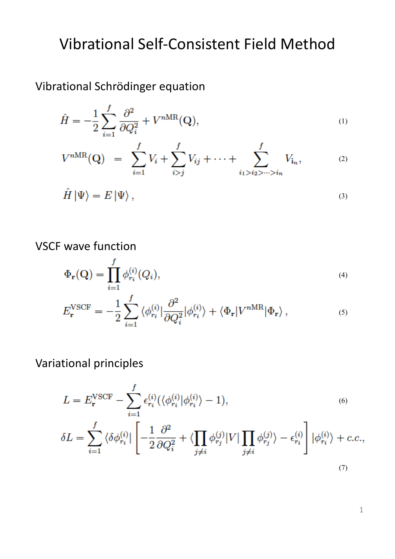# Vibrational Self-Consistent Field Method

Vibrational Schrödinger equation

$$
\hat{H} = -\frac{1}{2} \sum_{i=1}^{f} \frac{\partial^2}{\partial Q_i^2} + V^{nMR}(\mathbf{Q}),\tag{1}
$$

$$
V^{nMR}(\mathbf{Q}) = \sum_{i=1}^{f} V_i + \sum_{i>j}^{f} V_{ij} + \dots + \sum_{i_1 > i_2 > \dots > i_n}^{f} V_{i_n}, \tag{2}
$$

$$
\hat{H} | \Psi \rangle = E | \Psi \rangle , \qquad (3)
$$

VSCF wave function

$$
\Phi_{\mathbf{r}}(\mathbf{Q}) = \prod_{i=1}^{f} \phi_{r_i}^{(i)}(Q_i),\tag{4}
$$

$$
E_{\mathbf{r}}^{\text{VSCF}} = -\frac{1}{2} \sum_{i=1}^{f} \langle \phi_{r_i}^{(i)} | \frac{\partial^2}{\partial Q_i^2} | \phi_{r_i}^{(i)} \rangle + \langle \Phi_{\mathbf{r}} | V^{n\text{MR}} | \Phi_{\mathbf{r}} \rangle , \qquad (5)
$$

Variational principles

$$
L = E_{\mathbf{r}}^{\text{VSCF}} - \sum_{i=1}^{f} \epsilon_{r_i}^{(i)} (\langle \phi_{r_i}^{(i)} | \phi_{r_i}^{(i)} \rangle - 1),
$$
\n
$$
\delta L = \sum_{i=1}^{f} \langle \delta \phi_{r_i}^{(i)} | \left[ -\frac{1}{2} \frac{\partial^2}{\partial Q_i^2} + \langle \prod_{j \neq i} \phi_{r_j}^{(j)} | V | \prod_{j \neq i} \phi_{r_j}^{(j)} \rangle - \epsilon_{r_i}^{(i)} \right] | \phi_{r_i}^{(i)} \rangle + c.c.,
$$
\n(7)

1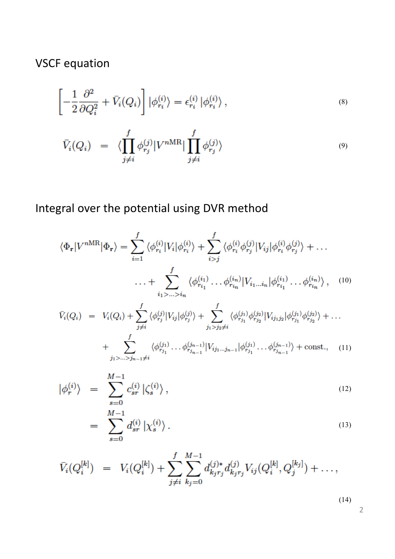VSCF equation

$$
\left[-\frac{1}{2}\frac{\partial^2}{\partial Q_i^2} + \bar{V}_i(Q_i)\right]|\phi_{r_i}^{(i)}\rangle = \epsilon_{r_i}^{(i)}|\phi_{r_i}^{(i)}\rangle\,,\tag{8}
$$

$$
\bar{V}_i(Q_i) = \langle \prod_{j \neq i}^f \phi_{r_j}^{(j)} | V^{nMR} | \prod_{j \neq i}^f \phi_{r_j}^{(j)} \rangle \tag{9}
$$

Integral over the potential using DVR method

$$
\langle \Phi_{\mathbf{r}} | V^{nMR} | \Phi_{\mathbf{r}} \rangle = \sum_{i=1}^{f} \langle \phi_{r_i}^{(i)} | V_i | \phi_{r_i}^{(i)} \rangle + \sum_{i>j}^{f} \langle \phi_{r_i}^{(i)} \phi_{r_j}^{(j)} | V_{ij} | \phi_{r_i}^{(i)} \phi_{r_j}^{(j)} \rangle + \dots \n\cdots + \sum_{i_1 > \dots > i_n}^{f} \langle \phi_{r_{i_1}}^{(i_1)} \dots \phi_{r_{i_n}}^{(i_n)} | V_{i_1 \dots i_n} | \phi_{r_{i_1}}^{(i_1)} \dots \phi_{r_{i_n}}^{(i_n)} \rangle, \quad (10)
$$
\n
$$
\bar{V}_i(Q_i) = V_i(Q_i) + \sum_{j \neq i}^{f} \langle \phi_{r_j}^{(j)} | V_{ij} | \phi_{r_j}^{(j)} \rangle + \sum_{j_1 > j_2 \neq i}^{f} \langle \phi_{r_{j_1}}^{(j_1)} \phi_{r_{j_2}}^{(j_2)} | V_{i j_1 j_2} | \phi_{r_{j_1}}^{(j_1)} \phi_{r_{j_2}}^{(j_2)} \rangle + \dots
$$

+ 
$$
\sum_{j_1 > ... > j_{n-1} \neq i}^{J} \langle \phi_{r_{j_1}}^{(j_1)} \dots \phi_{r_{j_{n-1}}}^{(j_{n-1})} | V_{i j_1 ... j_{n-1}} | \phi_{r_{j_1}}^{(j_1)} \dots \phi_{r_{j_{n-1}}}^{(j_{n-1})} \rangle + \text{const.}, \quad (11)
$$

$$
|\phi_r^{(i)}\rangle = \sum_{s=0}^{M-1} c_{sr}^{(i)} |\zeta_s^{(i)}\rangle, \qquad (12)
$$

$$
= \sum_{s=0}^{M-1} d_{sr}^{(i)} | \chi_s^{(i)} \rangle . \tag{13}
$$

$$
\bar{V}_i(Q_i^{[k]}) = V_i(Q_i^{[k]}) + \sum_{j \neq i}^{f} \sum_{k_j=0}^{M-1} d_{k_jr_j}^{(j)*} d_{k_jr_j}^{(j)} V_{ij}(Q_i^{[k]}, Q_j^{[k_j]}) + \dots,
$$

(14)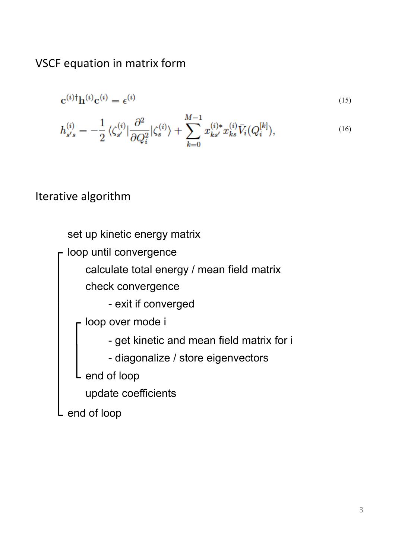VSCF equation in matrix form

$$
\mathbf{c}^{(i)\dagger}\mathbf{h}^{(i)}\mathbf{c}^{(i)} = \epsilon^{(i)} \tag{15}
$$

$$
h_{s's}^{(i)} = -\frac{1}{2} \langle \zeta_{s'}^{(i)} | \frac{\partial^2}{\partial Q_i^2} | \zeta_s^{(i)} \rangle + \sum_{k=0}^{M-1} x_{ks'}^{(i)*} x_{ks}^{(i)} \bar{V}_i (Q_i^{[k]}), \tag{16}
$$

## Iterative algorithm

loop until convergence end of loop calculate total energy / mean field matrix set up kinetic energy matrix - exit if converged check convergence - loop over mode i end of loop - get kinetic and mean field matrix for i - diagonalize / store eigenvectors update coefficients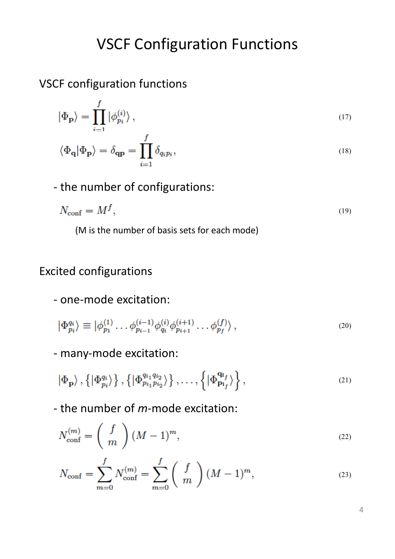## **VSCF Configuration Functions**

VSCF configuration functions

$$
|\Phi_{\mathbf{p}}\rangle = \prod_{i=1}^{f} |\phi_{p_i}^{(i)}\rangle , \qquad (17)
$$

$$
\langle \Phi_{\mathbf{q}} | \Phi_{\mathbf{p}} \rangle = \delta_{\mathbf{q}\mathbf{p}} = \prod_{i=1}^{J} \delta_{q_i p_i},
$$
\n(18)

- the number of configurations:

$$
N_{\rm conf} = M^f,\tag{19}
$$

(M is the number of basis sets for each mode)

## Excited configurations

## - one-mode excitation:

$$
|\Phi_{p_i}^{q_i}\rangle \equiv |\phi_{p_1}^{(1)}\dots\phi_{p_{i-1}}^{(i-1)}\phi_{q_i}^{(i)}\phi_{p_{i+1}}^{(i+1)}\dots\phi_{p_f}^{(f)}\rangle, \qquad (20)
$$

- many-mode excitation:

$$
|\Phi_{\mathbf{p}}\rangle, \left\{|\Phi_{p_i}^{q_i}\rangle\right\}, \left\{|\Phi_{p_{i_1}p_{i_2}}^{q_{i_1}q_{i_2}}\rangle\right\}, \dots, \left\{|\Phi_{\mathbf{p}_{i_f}}^{q_{i_f}}\rangle\right\}, \tag{21}
$$

- the number of *m*-mode excitation:

$$
N_{\text{conf}}^{(m)} = \left(\begin{array}{c} f \\ m \end{array}\right) (M-1)^m, \tag{22}
$$

$$
N_{\text{conf}} = \sum_{m=0}^{f} N_{\text{conf}}^{(m)} = \sum_{m=0}^{f} \binom{f}{m} (M-1)^m,
$$
\n(23)

4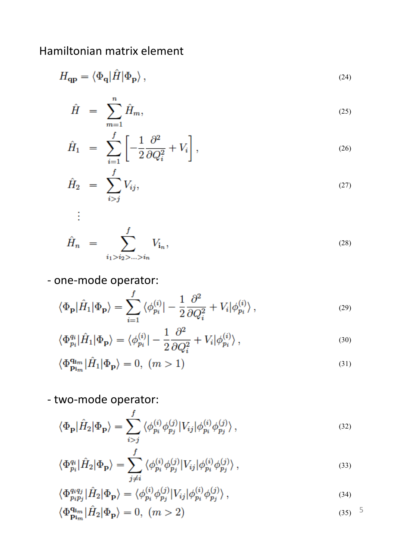## Hamiltonian matrix element

$$
H_{\mathbf{q}\mathbf{p}} = \langle \Phi_{\mathbf{q}} | \hat{H} | \Phi_{\mathbf{p}} \rangle , \tag{24}
$$

$$
\hat{H} = \sum_{m=1}^{n} \hat{H}_m, \tag{25}
$$

$$
\hat{H}_1 = \sum_{i=1}^f \left[ -\frac{1}{2} \frac{\partial^2}{\partial Q_i^2} + V_i \right],\tag{26}
$$

$$
\hat{H}_2 = \sum_{i>j}^{J} V_{ij}, \tag{27}
$$

$$
\hat{H}_n = \sum_{i_1 > i_2 > \ldots > i_n}^{f} V_{i_n},
$$
\n(28)

## - one-mode operator:

Ŧ.

$$
\langle \Phi_{\mathbf{p}} | \hat{H}_1 | \Phi_{\mathbf{p}} \rangle = \sum_{i=1}^{f} \langle \phi_{p_i}^{(i)} | - \frac{1}{2} \frac{\partial^2}{\partial Q_i^2} + V_i | \phi_{p_i}^{(i)} \rangle , \qquad (29)
$$

$$
\langle \Phi_{p_i}^{q_i} | \hat{H}_1 | \Phi_{\mathbf{p}} \rangle = \langle \phi_{p_i}^{(i)} | - \frac{1}{2} \frac{\partial^2}{\partial Q_i^2} + V_i | \phi_{p_i}^{(i)} \rangle , \qquad (30)
$$

$$
\langle \Phi_{\mathbf{p}_{\mathbf{i}_m}}^{\mathbf{q}_{\mathbf{i}_m}} | \hat{H}_1 | \Phi_{\mathbf{p}} \rangle = 0, \ (m > 1) \tag{31}
$$

- two-mode operator:

$$
\langle \Phi_{\mathbf{p}} | \hat{H}_2 | \Phi_{\mathbf{p}} \rangle = \sum_{i>j}^{f} \langle \phi_{p_i}^{(i)} \phi_{p_j}^{(j)} | V_{ij} | \phi_{p_i}^{(i)} \phi_{p_j}^{(j)} \rangle ,
$$
\n(32)

$$
\langle \Phi_{p_i}^{q_i} | \hat{H}_2 | \Phi_{\mathbf{p}} \rangle = \sum_{j \neq i}^J \langle \phi_{p_i}^{(i)} \phi_{p_j}^{(j)} | V_{ij} | \phi_{p_i}^{(i)} \phi_{p_j}^{(j)} \rangle , \qquad (33)
$$

$$
\langle \Phi_{p_{i}p_{j}}^{q_{i}q_{j}} | \hat{H}_{2} | \Phi_{\mathbf{p}} \rangle = \langle \phi_{p_{i}}^{(i)} \phi_{p_{j}}^{(j)} | V_{ij} | \phi_{p_{i}}^{(i)} \phi_{p_{j}}^{(j)} \rangle , \qquad (34)
$$

$$
\langle \Phi_{\mathbf{p}_{\mathbf{i}_m}}^{\mathbf{q}_{\mathbf{i}_m}} | \hat{H}_2 | \Phi_{\mathbf{p}} \rangle = 0, \ (m > 2) \tag{35}
$$

5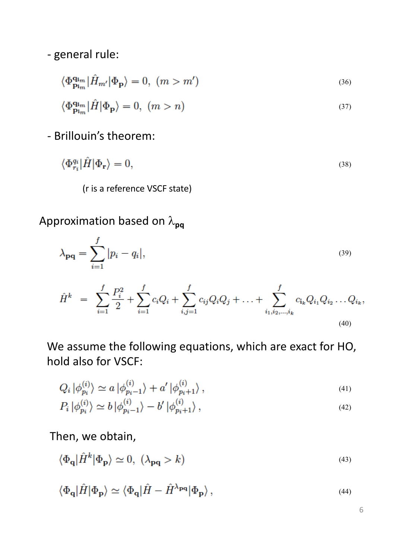- general rule:

$$
\langle \Phi_{\mathbf{p}_{\mathbf{i}_m}}^{\mathbf{q}_{\mathbf{i}_m}} | \hat{H}_{m'} | \Phi_{\mathbf{p}} \rangle = 0, \ (m > m') \tag{36}
$$

$$
\langle \Phi_{\mathbf{p}_{\mathbf{i}_m}}^{\mathbf{q}_{\mathbf{i}_m}} | \hat{H} | \Phi_{\mathbf{p}} \rangle = 0, \ (m > n)
$$
\n(37)

#### - Brillouin's theorem:

$$
\langle \Phi_{r_i}^{q_i} | \hat{H} | \Phi_{\mathbf{r}} \rangle = 0, \tag{38}
$$

(r is a reference VSCF state)

Approximation based on  $\lambda_{pq}$ 

$$
\lambda_{\mathbf{pq}} = \sum_{i=1}^{f} |p_i - q_i|,\tag{39}
$$

$$
\hat{H}^{k} = \sum_{i=1}^{f} \frac{P_{i}^{2}}{2} + \sum_{i=1}^{f} c_{i}Q_{i} + \sum_{i,j=1}^{f} c_{ij}Q_{i}Q_{j} + \ldots + \sum_{i_{1},i_{2},\ldots,i_{k}}^{f} c_{i_{k}}Q_{i_{1}}Q_{i_{2}}\ldots Q_{i_{k}},
$$
\n(40)

We assume the following equations, which are exact for HO, hold also for VSCF:

$$
Q_i | \phi_{p_i}^{(i)} \rangle \simeq a | \phi_{p_i - 1}^{(i)} \rangle + a' | \phi_{p_i + 1}^{(i)} \rangle , \qquad (41)
$$

$$
P_i | \phi_{p_i}^{(i)} \rangle \simeq b | \phi_{p_i - 1}^{(i)} \rangle - b' | \phi_{p_i + 1}^{(i)} \rangle , \qquad (42)
$$

### Then, we obtain,

$$
\langle \Phi_{\mathbf{q}} | \hat{H}^{k} | \Phi_{\mathbf{p}} \rangle \simeq 0, \ (\lambda_{\mathbf{p}\mathbf{q}} > k) \tag{43}
$$

$$
\langle \Phi_{\mathbf{q}} | \hat{H} | \Phi_{\mathbf{p}} \rangle \simeq \langle \Phi_{\mathbf{q}} | \hat{H} - \hat{H}^{\lambda_{\mathbf{p}\mathbf{q}}} | \Phi_{\mathbf{p}} \rangle, \tag{44}
$$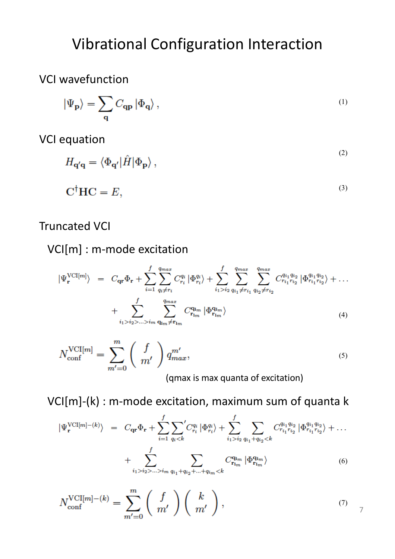# Vibrational Configuration Interaction

## VCI wavefunction

$$
\left| \Psi_{\bf p} \right\rangle = \sum_{\bf q} C_{\bf qp} \left| \Phi_{\bf q} \right\rangle , \tag{1}
$$

**VCI** equation

$$
H_{\mathbf{q'q}} = \langle \Phi_{\mathbf{q'}} | \hat{H} | \Phi_{\mathbf{p}} \rangle , \tag{2}
$$

$$
\mathbf{C}^{\dagger} \mathbf{H} \mathbf{C} = E,\tag{3}
$$

### **Truncated VCI**

VCI[m] : m-mode excitation

$$
|\Psi_{\mathbf{r}}^{\text{VCI}[m]}\rangle = C_{\mathbf{qr}}\Phi_{\mathbf{r}} + \sum_{i=1}^{f} \sum_{q_i \neq r_i}^{q_{max}} C_{r_i}^{q_i} |\Phi_{r_i}^{q_i}\rangle + \sum_{i_1 > i_2}^{f} \sum_{q_{i_1} \neq r_{i_1}}^{q_{max}} \sum_{q_{i_2} \neq r_{i_2}}^{q_{max}} C_{r_{i_1} r_{i_2}}^{q_{i_1} q_{i_2}} |\Phi_{r_{i_1} r_{i_2}}^{q_{i_1} q_{i_2}}\rangle + \dots + \sum_{i_1 > i_2 > \dots > i_m}^{f} \sum_{q_{im} \neq r_{im}}^{q_{max}} C_{\mathbf{r}_{im}}^{q_{im}} |\Phi_{\mathbf{r}_{im}}^{q_{im}}\rangle
$$
\n(4)

$$
N_{\text{conf}}^{\text{VCI}[m]} = \sum_{m'=0}^{m} \binom{f}{m'} q_{max}^{m'},
$$
\n(qmax is max quanta of excitation)

 $VCI[m]-(k)$ : m-mode excitation, maximum sum of quanta k

$$
\begin{split} \left| \Psi_{\mathbf{r}}^{\text{VCI}[m] - (k)} \right\rangle &= C_{\mathbf{qr}} \Phi_{\mathbf{r}} + \sum_{i=1}^{f} \sum_{q_i < k}^{\prime} C_{r_i}^{q_i} \left| \Phi_{r_i}^{q_i} \right\rangle + \sum_{i_1 > i_2}^{\prime} \sum_{q_{i_1} + q_{i_2} < k} C_{r_{i_1} r_{i_2}}^{q_{i_1} q_{i_2}} \left| \Phi_{r_{i_1} r_{i_2}}^{q_{i_1} q_{i_2}} \right\rangle + \sum_{i_1 > i_2 > \dots > i_m} \sum_{q_{i_1} + q_{i_2} + \dots + q_{i_m} < k} C_{\mathbf{r}_{i_m}}^{q_{i_m}} \left| \Phi_{\mathbf{r}_{i_m}}^{q_{i_m}} \right\rangle \end{split} \tag{6}
$$

$$
N_{\rm conf}^{\rm VCI[m]-}(k)} = \sum_{m'=0}^{m} \left( \begin{array}{c} f \\ m' \end{array} \right) \left( \begin{array}{c} k \\ m' \end{array} \right), \tag{7}
$$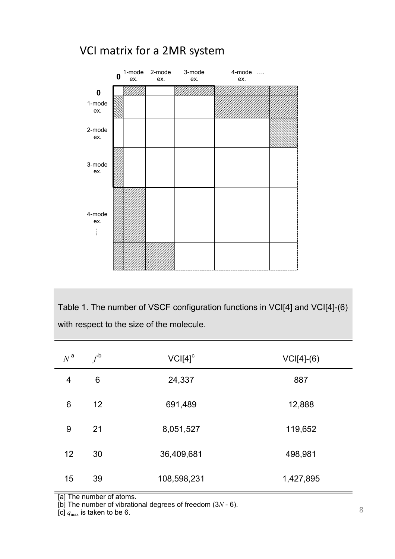### VCI matrix for a 2MR system



Table 1. The number of VSCF configuration functions in VCI[4] and VCI[4]-(6) with respect to the size of the molecule.

| $N^{\,a}$ | $f^{\mathsf{b}}$ | $VCI[4]$ <sup>c</sup> | $VCI[4]-(6)$ |
|-----------|------------------|-----------------------|--------------|
| 4         | 6                | 24,337                | 887          |
| 6         | 12               | 691,489               | 12,888       |
| 9         | 21               | 8,051,527             | 119,652      |
| 12        | 30               | 36,409,681            | 498,981      |
| 15        | 39               | 108,598,231           | 1,427,895    |

[a] The number of atoms.

[b] The number of vibrational degrees of freedom (3*N* - 6).

[c]  $q_{\text{max}}$  is taken to be 6.